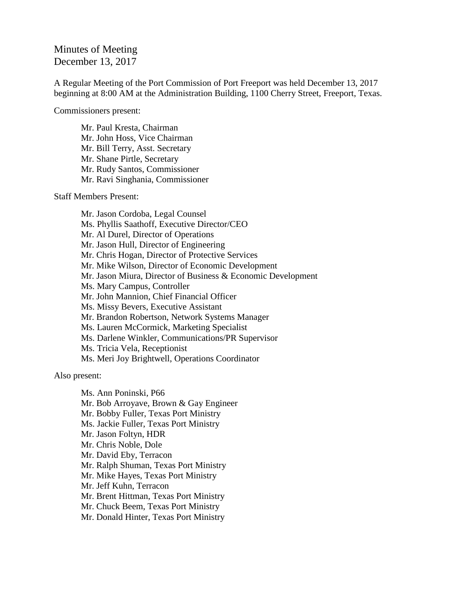## Minutes of Meeting December 13, 2017

A Regular Meeting of the Port Commission of Port Freeport was held December 13, 2017 beginning at 8:00 AM at the Administration Building, 1100 Cherry Street, Freeport, Texas.

Commissioners present:

Mr. Paul Kresta, Chairman Mr. John Hoss, Vice Chairman Mr. Bill Terry, Asst. Secretary Mr. Shane Pirtle, Secretary Mr. Rudy Santos, Commissioner Mr. Ravi Singhania, Commissioner

Staff Members Present:

Mr. Jason Cordoba, Legal Counsel Ms. Phyllis Saathoff, Executive Director/CEO Mr. Al Durel, Director of Operations Mr. Jason Hull, Director of Engineering Mr. Chris Hogan, Director of Protective Services Mr. Mike Wilson, Director of Economic Development Mr. Jason Miura, Director of Business & Economic Development Ms. Mary Campus, Controller Mr. John Mannion, Chief Financial Officer Ms. Missy Bevers, Executive Assistant Mr. Brandon Robertson, Network Systems Manager Ms. Lauren McCormick, Marketing Specialist Ms. Darlene Winkler, Communications/PR Supervisor Ms. Tricia Vela, Receptionist Ms. Meri Joy Brightwell, Operations Coordinator

Also present:

Ms. Ann Poninski, P66 Mr. Bob Arroyave, Brown & Gay Engineer Mr. Bobby Fuller, Texas Port Ministry Ms. Jackie Fuller, Texas Port Ministry Mr. Jason Foltyn, HDR Mr. Chris Noble, Dole Mr. David Eby, Terracon Mr. Ralph Shuman, Texas Port Ministry Mr. Mike Hayes, Texas Port Ministry Mr. Jeff Kuhn, Terracon Mr. Brent Hittman, Texas Port Ministry Mr. Chuck Beem, Texas Port Ministry Mr. Donald Hinter, Texas Port Ministry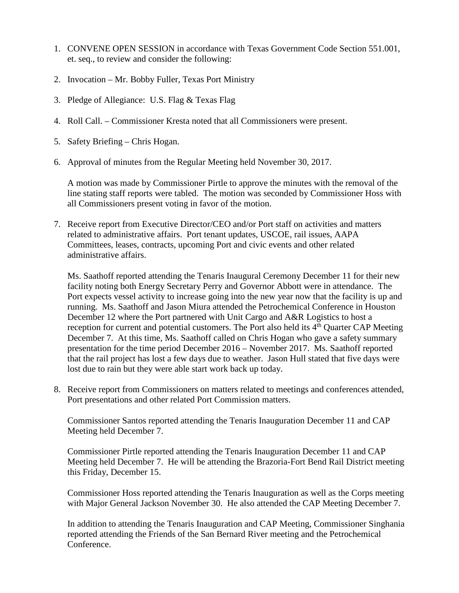- 1. CONVENE OPEN SESSION in accordance with Texas Government Code Section 551.001, et. seq., to review and consider the following:
- 2. Invocation Mr. Bobby Fuller, Texas Port Ministry
- 3. Pledge of Allegiance: U.S. Flag & Texas Flag
- 4. Roll Call. Commissioner Kresta noted that all Commissioners were present.
- 5. Safety Briefing Chris Hogan.
- 6. Approval of minutes from the Regular Meeting held November 30, 2017.

A motion was made by Commissioner Pirtle to approve the minutes with the removal of the line stating staff reports were tabled. The motion was seconded by Commissioner Hoss with all Commissioners present voting in favor of the motion.

7. Receive report from Executive Director/CEO and/or Port staff on activities and matters related to administrative affairs. Port tenant updates, USCOE, rail issues, AAPA Committees, leases, contracts, upcoming Port and civic events and other related administrative affairs.

Ms. Saathoff reported attending the Tenaris Inaugural Ceremony December 11 for their new facility noting both Energy Secretary Perry and Governor Abbott were in attendance. The Port expects vessel activity to increase going into the new year now that the facility is up and running. Ms. Saathoff and Jason Miura attended the Petrochemical Conference in Houston December 12 where the Port partnered with Unit Cargo and A&R Logistics to host a reception for current and potential customers. The Port also held its  $4<sup>th</sup>$  Quarter CAP Meeting December 7. At this time, Ms. Saathoff called on Chris Hogan who gave a safety summary presentation for the time period December 2016 – November 2017. Ms. Saathoff reported that the rail project has lost a few days due to weather. Jason Hull stated that five days were lost due to rain but they were able start work back up today.

8. Receive report from Commissioners on matters related to meetings and conferences attended, Port presentations and other related Port Commission matters.

Commissioner Santos reported attending the Tenaris Inauguration December 11 and CAP Meeting held December 7.

Commissioner Pirtle reported attending the Tenaris Inauguration December 11 and CAP Meeting held December 7. He will be attending the Brazoria-Fort Bend Rail District meeting this Friday, December 15.

Commissioner Hoss reported attending the Tenaris Inauguration as well as the Corps meeting with Major General Jackson November 30. He also attended the CAP Meeting December 7.

In addition to attending the Tenaris Inauguration and CAP Meeting, Commissioner Singhania reported attending the Friends of the San Bernard River meeting and the Petrochemical Conference.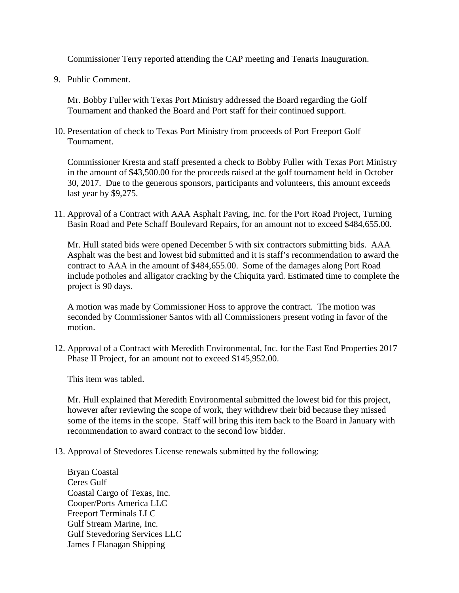Commissioner Terry reported attending the CAP meeting and Tenaris Inauguration.

9. Public Comment.

Mr. Bobby Fuller with Texas Port Ministry addressed the Board regarding the Golf Tournament and thanked the Board and Port staff for their continued support.

10. Presentation of check to Texas Port Ministry from proceeds of Port Freeport Golf Tournament.

Commissioner Kresta and staff presented a check to Bobby Fuller with Texas Port Ministry in the amount of \$43,500.00 for the proceeds raised at the golf tournament held in October 30, 2017. Due to the generous sponsors, participants and volunteers, this amount exceeds last year by \$9,275.

11. Approval of a Contract with AAA Asphalt Paving, Inc. for the Port Road Project, Turning Basin Road and Pete Schaff Boulevard Repairs, for an amount not to exceed \$484,655.00.

Mr. Hull stated bids were opened December 5 with six contractors submitting bids. AAA Asphalt was the best and lowest bid submitted and it is staff's recommendation to award the contract to AAA in the amount of \$484,655.00. Some of the damages along Port Road include potholes and alligator cracking by the Chiquita yard. Estimated time to complete the project is 90 days.

A motion was made by Commissioner Hoss to approve the contract. The motion was seconded by Commissioner Santos with all Commissioners present voting in favor of the motion.

12. Approval of a Contract with Meredith Environmental, Inc. for the East End Properties 2017 Phase II Project, for an amount not to exceed \$145,952.00.

This item was tabled.

Mr. Hull explained that Meredith Environmental submitted the lowest bid for this project, however after reviewing the scope of work, they withdrew their bid because they missed some of the items in the scope. Staff will bring this item back to the Board in January with recommendation to award contract to the second low bidder.

13. Approval of Stevedores License renewals submitted by the following:

Bryan Coastal Ceres Gulf Coastal Cargo of Texas, Inc. Cooper/Ports America LLC Freeport Terminals LLC Gulf Stream Marine, Inc. Gulf Stevedoring Services LLC James J Flanagan Shipping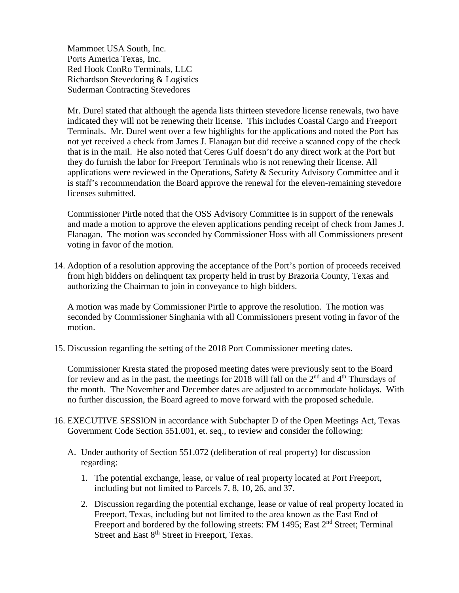Mammoet USA South, Inc. Ports America Texas, Inc. Red Hook ConRo Terminals, LLC Richardson Stevedoring & Logistics Suderman Contracting Stevedores

Mr. Durel stated that although the agenda lists thirteen stevedore license renewals, two have indicated they will not be renewing their license. This includes Coastal Cargo and Freeport Terminals. Mr. Durel went over a few highlights for the applications and noted the Port has not yet received a check from James J. Flanagan but did receive a scanned copy of the check that is in the mail. He also noted that Ceres Gulf doesn't do any direct work at the Port but they do furnish the labor for Freeport Terminals who is not renewing their license. All applications were reviewed in the Operations, Safety & Security Advisory Committee and it is staff's recommendation the Board approve the renewal for the eleven-remaining stevedore licenses submitted.

Commissioner Pirtle noted that the OSS Advisory Committee is in support of the renewals and made a motion to approve the eleven applications pending receipt of check from James J. Flanagan. The motion was seconded by Commissioner Hoss with all Commissioners present voting in favor of the motion.

14. Adoption of a resolution approving the acceptance of the Port's portion of proceeds received from high bidders on delinquent tax property held in trust by Brazoria County, Texas and authorizing the Chairman to join in conveyance to high bidders.

A motion was made by Commissioner Pirtle to approve the resolution. The motion was seconded by Commissioner Singhania with all Commissioners present voting in favor of the motion.

15. Discussion regarding the setting of the 2018 Port Commissioner meeting dates.

Commissioner Kresta stated the proposed meeting dates were previously sent to the Board for review and as in the past, the meetings for 2018 will fall on the  $2<sup>nd</sup>$  and  $4<sup>th</sup>$  Thursdays of the month. The November and December dates are adjusted to accommodate holidays. With no further discussion, the Board agreed to move forward with the proposed schedule.

- 16. EXECUTIVE SESSION in accordance with Subchapter D of the Open Meetings Act, Texas Government Code Section 551.001, et. seq., to review and consider the following:
	- A. Under authority of Section 551.072 (deliberation of real property) for discussion regarding:
		- 1. The potential exchange, lease, or value of real property located at Port Freeport, including but not limited to Parcels 7, 8, 10, 26, and 37.
		- 2. Discussion regarding the potential exchange, lease or value of real property located in Freeport, Texas, including but not limited to the area known as the East End of Freeport and bordered by the following streets: FM 1495; East 2<sup>nd</sup> Street; Terminal Street and East 8<sup>th</sup> Street in Freeport, Texas.